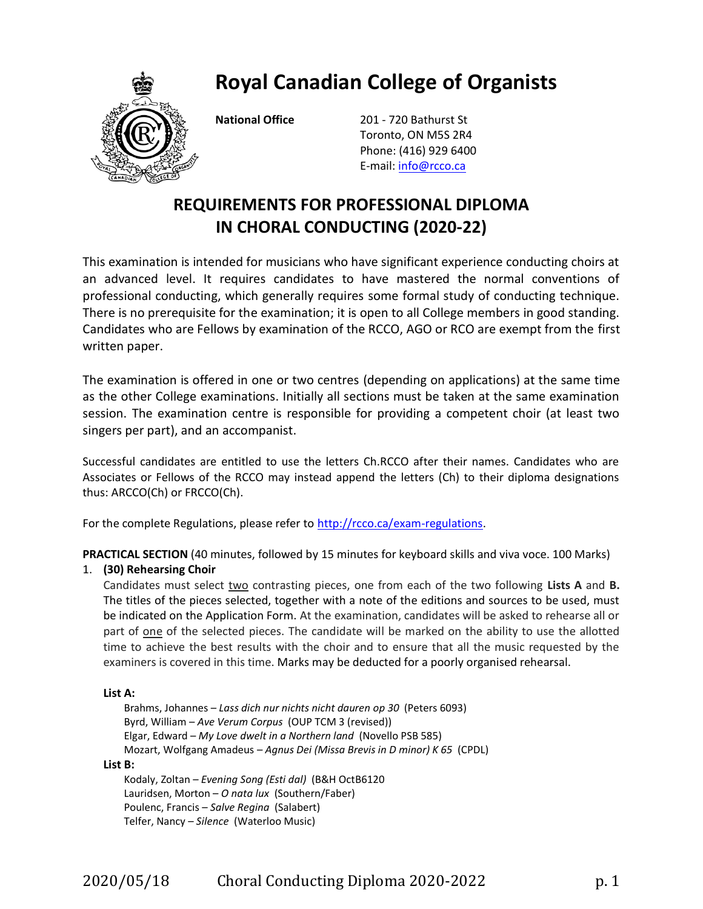**Royal Canadian College of Organists**



**National Office** 201 - 720 Bathurst St Toronto, ON M5S 2R4 Phone: (416) 929 6400 E-mail: [info@rcco.ca](mailto:info@rcco.ca)

# **REQUIREMENTS FOR PROFESSIONAL DIPLOMA IN CHORAL CONDUCTING (2020-22)**

This examination is intended for musicians who have significant experience conducting choirs at an advanced level. It requires candidates to have mastered the normal conventions of professional conducting, which generally requires some formal study of conducting technique. There is no prerequisite for the examination; it is open to all College members in good standing. Candidates who are Fellows by examination of the RCCO, AGO or RCO are exempt from the first written paper.

The examination is offered in one or two centres (depending on applications) at the same time as the other College examinations. Initially all sections must be taken at the same examination session. The examination centre is responsible for providing a competent choir (at least two singers per part), and an accompanist.

Successful candidates are entitled to use the letters Ch.RCCO after their names. Candidates who are Associates or Fellows of the RCCO may instead append the letters (Ch) to their diploma designations thus: ARCCO(Ch) or FRCCO(Ch).

For the complete Regulations, please refer to [http://rcco.ca/exam-regulations.](http://rcco.ca/exam-regulations)

**PRACTICAL SECTION** (40 minutes, followed by 15 minutes for keyboard skills and viva voce. 100 Marks)

## 1. **(30) Rehearsing Choir**

Candidates must select two contrasting pieces, one from each of the two following **Lists A** and **B.**  The titles of the pieces selected, together with a note of the editions and sources to be used, must be indicated on the Application Form. At the examination, candidates will be asked to rehearse all or part of one of the selected pieces. The candidate will be marked on the ability to use the allotted time to achieve the best results with the choir and to ensure that all the music requested by the examiners is covered in this time. Marks may be deducted for a poorly organised rehearsal.

## **List A:**

Brahms, Johannes – *Lass dich nur nichts nicht dauren op 30* (Peters 6093) Byrd, William – *Ave Verum Corpus* (OUP TCM 3 (revised)) Elgar, Edward – *My Love dwelt in a Northern land* (Novello PSB 585) Mozart, Wolfgang Amadeus – *Agnus Dei (Missa Brevis in D minor) K 65* (CPDL)

#### **List B:**

Kodaly, Zoltan – *Evening Song (Esti dal)* (B&H OctB6120 Lauridsen, Morton – *O nata lux* (Southern/Faber) Poulenc, Francis – *Salve Regina* (Salabert) Telfer, Nancy – *Silence* (Waterloo Music)